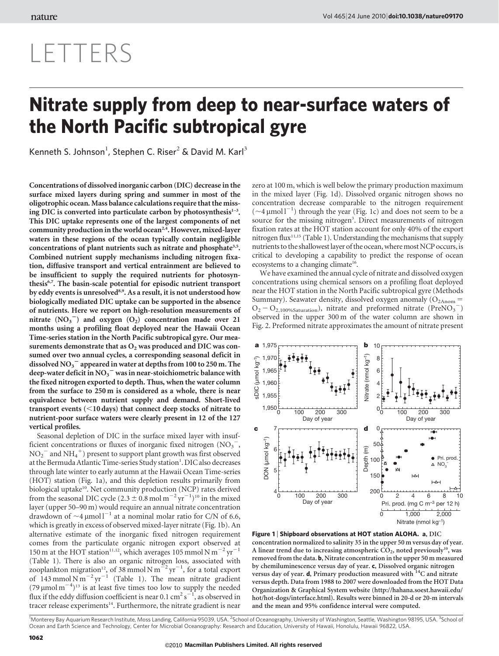## Vol 465| 24 June 2010| [doi:10.1038/nature09170](www.nature.com/doifinder/10.1038/nature09170)

# LETTERS

# Nitrate supply from deep to near-surface waters of the North Pacific subtropical gyre

Kenneth S. Johnson<sup>1</sup>, Stephen C. Riser<sup>2</sup> & David M. Karl<sup>3</sup>

Concentrations of dissolved inorganic carbon (DIC) decrease in the surface mixed layers during spring and summer in most of the oligotrophic ocean. Mass balance calculations require that the missing DIC is converted into particulate carbon by photosynthesis $1-3$ . This DIC uptake represents one of the largest components of net community production in the world ocean<sup>2,4</sup>. However, mixed-layer waters in these regions of the ocean typically contain negligible concentrations of plant nutrients such as nitrate and phosphate<sup>3,5</sup>. Combined nutrient supply mechanisms including nitrogen fixation, diffusive transport and vertical entrainment are believed to be insufficient to supply the required nutrients for photosynthesis<sup>6,7</sup>. The basin-scale potential for episodic nutrient transport by eddy events is unresolved<sup>8,9</sup>. As a result, it is not understood how biologically mediated DIC uptake can be supported in the absence of nutrients. Here we report on high-resolution measurements of nitrate  $(NO<sub>3</sub><sup>-</sup>)$  and oxygen  $(O<sub>2</sub>)$  concentration made over 21 months using a profiling float deployed near the Hawaii Ocean Time-series station in the North Pacific subtropical gyre. Our measurements demonstrate that as  $O_2$  was produced and DIC was consumed over two annual cycles, a corresponding seasonal deficit in dissolved  $\mathrm{NO_3}^-$  appeared in water at depths from 100 to 250 m. The deep-water deficit in  $\mathrm{NO_3}^-$  was in near-stoichiometric balance with the fixed nitrogen exported to depth. Thus, when the water column from the surface to 250 m is considered as a whole, there is near equivalence between nutrient supply and demand. Short-lived transport events  $\left($  < 10 days) that connect deep stocks of nitrate to nutrient-poor surface waters were clearly present in 12 of the 127 vertical profiles.

Seasonal depletion of DIC in the surface mixed layer with insufficient concentrations or fluxes of inorganic fixed nitrogen  $(NO<sub>3</sub><sup>-</sup>,$  $\mathrm{NO_2}^-$  and  $\mathrm{NH_4}^+$ ) present to support plant growth was first observed at the Bermuda Atlantic Time-series Study station<sup>1</sup>. DIC also decreases through late winter to early autumn at the Hawaii Ocean Time-series (HOT) station (Fig. 1a), and this depletion results primarily from biological uptake<sup>10</sup>. Net community production (NCP) rates derived from the seasonal DIC cycle  $(2.3 \pm 0.8 \text{ mol m}^{-2} \text{ yr}^{-1})^{10}$  in the mixed layer (upper 50–90 m) would require an annual nitrate concentration drawdown of  $\sim$ 4  $\mu$ mol l<sup>-1</sup> at a nominal molar ratio for C/N of 6.6, which is greatly in excess of observed mixed-layer nitrate (Fig. 1b). An alternative estimate of the inorganic fixed nitrogen requirement comes from the particulate organic nitrogen export observed at 150 m at the HOT station<sup>11,12</sup>, which averages 105 mmol N m<sup>-2</sup> yr<sup>-1</sup> (Table 1). There is also an organic nitrogen loss, associated with zooplankton migration<sup>12</sup>, of 38 mmol N m<sup> $-2$ </sup> yr<sup>-1</sup>, for a total export of  $143$  mmol N m<sup>-2</sup> yr<sup>-1</sup> (Table 1). The mean nitrate gradient  $(79 \,\mathrm{\mu mol\,m}^{-4})^{13}$  is at least five times too low to supply the needed flux if the eddy diffusion coefficient is near 0.1 cm<sup>2</sup> s<sup>-1</sup>, as observed in tracer release experiments<sup>14</sup>. Furthermore, the nitrate gradient is near

zero at 100 m, which is well below the primary production maximum in the mixed layer (Fig. 1d). Dissolved organic nitrogen shows no concentration decrease comparable to the nitrogen requirement  $(\sim 4 \,\mu\text{mol}^{-1})$  through the year (Fig. 1c) and does not seem to be a source for the missing nitrogen<sup>3</sup>. Direct measurements of nitrogen fixation rates at the HOT station account for only 40% of the export nitrogen flux $11,15$  (Table 1). Understanding the mechanisms that supply nutrients to the shallowest layer of the ocean, where most NCP occurs,is critical to developing a capability to predict the response of ocean ecosystems to a changing climate<sup>16</sup>.

We have examined the annual cycle of nitrate and dissolved oxygen concentrations using chemical sensors on a profiling float deployed near the HOT station in the North Pacific subtropical gyre (Methods Summary). Seawater density, dissolved oxygen anomaly  $(O_{2Anom} =$  $O_2 - O_{2,100\%Saturation}$ , nitrate and preformed nitrate (PreNO<sub>3</sub><sup>-</sup>) observed in the upper 300 m of the water column are shown in Fig. 2. Preformed nitrate approximates the amount of nitrate present



Figure 1 | Shipboard observations at HOT station ALOHA. a, DIC concentration normalized to salinity 35 in the upper 50 m versus day of year. A linear trend due to increasing atmospheric  $CO_2$ , noted previously<sup>10</sup>, was removed from the data. b, Nitrate concentration in the upper 50 m measured by chemiluminescence versus day of year. c, Dissolved organic nitrogen versus day of year. d, Primary production measured with <sup>14</sup>C and nitrate versus depth. Data from 1988 to 2007 were downloaded from the HOT Data Organization & Graphical System website ([http://hahana.soest.hawaii.edu/](http://hahana.soest.hawaii.edu/hot/hot-dogs/interface.html) [hot/hot-dogs/interface.html\)](http://hahana.soest.hawaii.edu/hot/hot-dogs/interface.html). Results were binned in 20-d or 20-m intervals and the mean and 95% confidence interval were computed.

<sup>1</sup>Monterey Bay Aquarium Research Institute, Moss Landing, California 95039, USA. <sup>2</sup>School of Oceanography, University of Washington, Seattle, Washington 98195, USA. <sup>3</sup>School of Ocean and Earth Science and Technology, Center for Microbial Oceanography: Research and Education, University of Hawaii, Honolulu, Hawaii 96822, USA.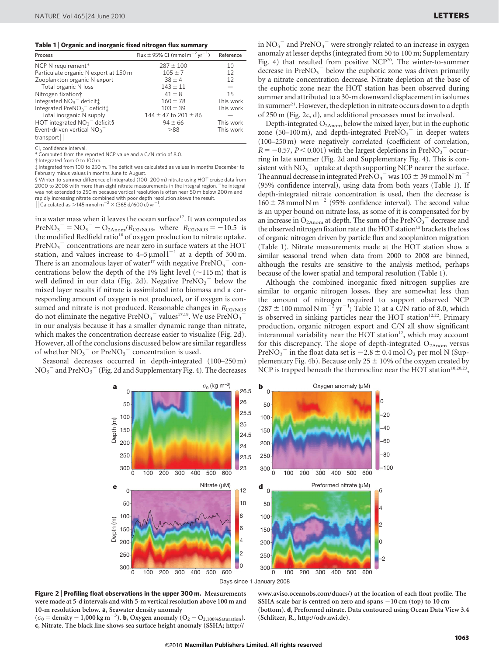#### Table 1 <sup>|</sup> Organic and inorganic fixed nitrogen flux summary

| Process                                                         | Flux $\pm$ 95% CI (mmol m <sup>-2</sup> yr <sup>-1</sup> ) | Reference |
|-----------------------------------------------------------------|------------------------------------------------------------|-----------|
| NCP N requirement*                                              | $287 \pm 100$                                              | 10        |
| Particulate organic N export at 150 m                           | $105 \pm 7$                                                | 12        |
| Zooplankton organic N export                                    | $38 \pm 4$                                                 | 12        |
| Total organic N loss                                            | $143 \pm 11$                                               |           |
| Nitrogen fixation†                                              | $41 \pm 8$                                                 | 15        |
| Integrated $NO3$ deficiti                                       | $160 \pm 78$                                               | This work |
| Integrated PreNO <sub>3</sub> <sup>-</sup> deficit <sup>1</sup> | $103 \pm 39$                                               | This work |
| Total inorganic N supply                                        | $144 \pm 47$ to $201 \pm 86$                               |           |
| HOT integrated $NO3$ <sup>-</sup> deficit§                      | $94 \pm 66$                                                | This work |
| Event-driven vertical $NO3$                                     | >88                                                        | This work |
| transport                                                       |                                                            |           |

CI, confidence interval. \* Computed from the reported NCP value and a C/N ratio of 8.0.

{ Integrated from 0 to 100 m.

{ Integrated from 100 to 250 m. The deficit was calculated as values in months December to February minus values in months June to August.

§ Winter-to-summer difference of integrated (100–200 m) nitrate using HOT cruise data from 2000 to 2008 with more than eight nitrate measurements in the integral region. The integral was not extended to 250 m because vertical resolution is often near 50 m below 200 m and rapidly increasing nitrate combined with poor depth resolution skews the result.  $\frac{1}{2}$  Calculated as  $>$ 145 mmol m<sup>-2</sup>  $\times$  (365 d/600 d) yr<sup>2</sup> .

in a water mass when it leaves the ocean surface<sup>17</sup>. It was computed as  $PreNO<sub>3</sub><sup>-</sup> = NO<sub>3</sub><sup>-</sup> - O<sub>2Anom</sub>/R<sub>O2/NO3</sub>$ , where  $R<sub>O2/NO3</sub> = -10.5$  is the modified Redfield ratio<sup>18</sup> of oxygen production to nitrate uptake.  $PreNO<sub>3</sub><sup>-</sup> concentrations are near zero in surface waters at the HOT$ station, and values increase to  $4-5 \mu$ mol $1^{-1}$  at a depth of 300 m. There is an anomalous layer of water<sup>17</sup> with negative  $\text{PreNO}_{3}^{-}$  concentrations below the depth of the 1% light level  $(\sim 115 \text{ m})$  that is well defined in our data (Fig. 2d). Negative  $PreNO<sub>3</sub><sup>-</sup>$  below the mixed layer results if nitrate is assimilated into biomass and a corresponding amount of oxygen is not produced, or if oxygen is consumed and nitrate is not produced. Reasonable changes in  $R_{\Omega/NO3}$ do not eliminate the negative  $PreNO<sub>3</sub><sup>-</sup>$  values<sup>17,19</sup>. We use  $PreNO<sub>3</sub>$ in our analysis because it has a smaller dynamic range than nitrate, which makes the concentration decrease easier to visualize (Fig. 2d). However, all of the conclusions discussed below are similar regardless of whether  $NO<sub>3</sub><sup>-</sup>$  or PreNO<sub>3</sub><sup>-</sup> concentration is used.

Seasonal decreases occurred in depth-integrated (100–250 m)  $\mathrm{NO_3}^-$  and  $\mathrm{PreNO_3}^-$  (Fig. 2d and Supplementary Fig. 4). The decreases

in  $\mathrm{NO_3}^-$  and  $\mathrm{PreNO_3}^-$  were strongly related to an increase in oxygen anomaly at lesser depths (integrated from 50 to 100 m; Supplementary Fig. 4) that resulted from positive NCP<sup>20</sup>. The winter-to-summer decrease in  $PreNO<sub>3</sub><sup>-</sup>$  below the euphotic zone was driven primarily by a nitrate concentration decrease. Nitrate depletion at the base of the euphotic zone near the HOT station has been observed during summer and attributed to a 30-m downward displacement in isolumes in summer<sup>21</sup>. However, the depletion in nitrate occurs down to a depth of 250 m (Fig. 2c, d), and additional processes must be involved.

Depth-integrated  $O_{2A_{\text{nom}}}$  below the mixed layer, but in the euphotic zone  $(50-100 \text{ m})$ , and depth-integrated PreNO<sub>3</sub><sup>-</sup> in deeper waters (100–250 m) were negatively correlated (coefficient of correlation,  $R = -0.57$ ,  $P < 0.001$ ) with the largest depletions in PreNO<sub>3</sub><sup>-</sup> occurring in late summer (Fig. 2d and Supplementary Fig. 4). This is consistent with  $NO<sub>3</sub><sup>-</sup>$  uptake at depth supporting NCP nearer the surface. The annual decrease in integrated PreNO<sub>3</sub><sup>-</sup> was 103  $\pm$  39 mmol N m<sup>-2</sup> (95% confidence interval), using data from both years (Table 1). If depth-integrated nitrate concentration is used, then the decrease is  $160 \pm 78$  mmol N m<sup>-2</sup> (95% confidence interval). The second value is an upper bound on nitrate loss, as some of it is compensated for by an increase in  $O_{2\text{Anom}}$  at depth. The sum of the PreN $O_3$ <sup>-</sup> decrease and the observed nitrogen fixation rate at the HOT station<sup>15</sup> brackets the loss of organic nitrogen driven by particle flux and zooplankton migration (Table 1). Nitrate measurements made at the HOT station show a similar seasonal trend when data from 2000 to 2008 are binned, although the results are sensitive to the analysis method, perhaps because of the lower spatial and temporal resolution (Table 1).

Although the combined inorganic fixed nitrogen supplies are similar to organic nitrogen losses, they are somewhat less than the amount of nitrogen required to support observed NCP  $(287 \pm 100 \text{ mmol N m}^{-2} \text{ yr}^{-1}$ ; Table 1) at a C/N ratio of 8.0, which is observed in sinking particles near the HOT station<sup>12,22</sup>. Primary production, organic nitrogen export and C/N all show significant interannual variability near the HOT station $12$ , which may account for this discrepancy. The slope of depth-integrated  $O<sub>2Anom</sub>$  versus PreNO<sub>3</sub><sup>-</sup> in the float data set is  $-2.8 \pm 0.4$  mol O<sub>2</sub> per mol N (Supplementary Fig. 4b). Because only 25  $\pm$  10% of the oxygen created by NCP is trapped beneath the thermocline near the HOT station<sup>10,20,23</sup>,



Figure 2 | Profiling float observations in the upper 300 m. Measurements were made at 5-d intervals and with 5-m vertical resolution above 100 m and 10-m resolution below. a, Seawater density anomaly

 $(\sigma_0 =$  density - 1,000 kg m<sup>-3</sup>). **b**, Oxygen anomaly  $(O_2 - O_{2,100\%Saturation}).$ c, Nitrate. The black line shows sea surface height anomaly (SSHA; [http://](http://www.aviso.oceanobs.com/duacs)

[www.aviso.oceanobs.com/duacs/\)](http://www.aviso.oceanobs.com/duacs) at the location of each float profile. The SSHA scale bar is centred on zero and spans  $-10$  cm (top) to  $10$  cm (bottom). d, Preformed nitrate. Data contoured using Ocean Data View 3.4 (Schlitzer, R., [http://odv.awi.de\)](http://odv.awi.de).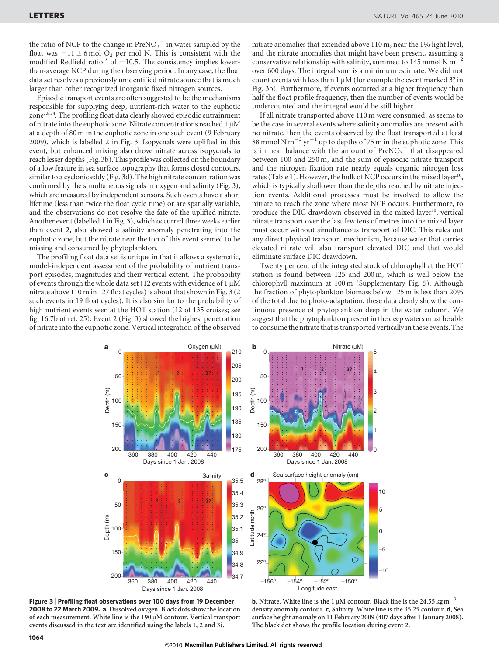the ratio of NCP to the change in  $\mathrm{PreNO_3}^-$  in water sampled by the float was  $-11 \pm 6$  mol O<sub>2</sub> per mol N. This is consistent with the modified Redfield ratio<sup>18</sup> of  $-10.5$ . The consistency implies lowerthan-average NCP during the observing period. In any case, the float data set resolves a previously unidentified nitrate source that is much larger than other recognized inorganic fixed nitrogen sources.

Episodic transport events are often suggested to be the mechanisms responsible for supplying deep, nutrient-rich water to the euphotic zone7,8,24. The profiling float data clearly showed episodic entrainment of nitrate into the euphotic zone. Nitrate concentrations reached  $1 \mu M$ at a depth of 80 m in the euphotic zone in one such event (9 February 2009), which is labelled 2 in Fig. 3. Isopycnals were uplifted in this event, but enhanced mixing also drove nitrate across isopycnals to reach lesser depths (Fig. 3b). This profile was collected on the boundary of a low feature in sea surface topography that forms closed contours, similar to a cyclonic eddy (Fig. 3d). The high nitrate concentration was confirmed by the simultaneous signals in oxygen and salinity (Fig. 3), which are measured by independent sensors. Such events have a short lifetime (less than twice the float cycle time) or are spatially variable, and the observations do not resolve the fate of the uplifted nitrate. Another event (labelled 1 in Fig. 3), which occurred three weeks earlier than event 2, also showed a salinity anomaly penetrating into the euphotic zone, but the nitrate near the top of this event seemed to be missing and consumed by phytoplankton.

The profiling float data set is unique in that it allows a systematic, model-independent assessment of the probability of nutrient transport episodes, magnitudes and their vertical extent. The probability of events through the whole data set (12 events with evidence of 1  $\mu$ M nitrate above 110 m in 127 float cycles) is about that shown in Fig. 3 (2 such events in 19 float cycles). It is also similar to the probability of high nutrient events seen at the HOT station (12 of 135 cruises; see fig. 16.7b of ref. 25). Event 2 (Fig. 3) showed the highest penetration of nitrate into the euphotic zone. Vertical integration of the observed nitrate anomalies that extended above 110 m, near the 1% light level, and the nitrate anomalies that might have been present, assuming a conservative relationship with salinity, summed to 145 mmol N m<sup>2</sup> over 600 days. The integral sum is a minimum estimate. We did not count events with less than  $1 \mu M$  (for example the event marked 3? in Fig. 3b). Furthermore, if events occurred at a higher frequency than half the float profile frequency, then the number of events would be undercounted and the integral would be still higher.

If all nitrate transported above 110 m were consumed, as seems to be the case in several events where salinity anomalies are present with no nitrate, then the events observed by the float transported at least 88 mmol N m<sup> $-2$ </sup> yr<sup> $-1$ </sup> up to depths of 75 m in the euphotic zone. This is in near balance with the amount of  $PreNO<sub>3</sub><sup>-</sup>$  that disappeared between 100 and 250 m, and the sum of episodic nitrate transport and the nitrogen fixation rate nearly equals organic nitrogen loss rates (Table 1). However, the bulk of NCP occurs in the mixed layer<sup>10</sup>, which is typically shallower than the depths reached by nitrate injection events. Additional processes must be involved to allow the nitrate to reach the zone where most NCP occurs. Furthermore, to produce the DIC drawdown observed in the mixed layer<sup>10</sup>, vertical nitrate transport over the last few tens of metres into the mixed layer must occur without simultaneous transport of DIC. This rules out any direct physical transport mechanism, because water that carries elevated nitrate will also transport elevated DIC and that would eliminate surface DIC drawdown.

Twenty per cent of the integrated stock of chlorophyll at the HOT station is found between 125 and 200 m, which is well below the chlorophyll maximum at 100 m (Supplementary Fig. 5). Although the fraction of phytoplankton biomass below 125 m is less than 20% of the total due to photo-adaptation, these data clearly show the continuous presence of phytoplankton deep in the water column. We suggest that the phytoplankton present in the deep waters must be able to consume the nitrate that is transported vertically in these events. The



Figure 3 <sup>|</sup> Profiling float observations over 100 days from 19 December 2008 to 22 March 2009. a, Dissolved oxygen. Black dots show the location of each measurement. White line is the  $190 \mu$ M contour. Vertical transport events discussed in the text are identified using the labels 1, 2 and 3?.

**b**, Nitrate. White line is the 1  $\mu$ M contour. Black line is the 24.55 kg m<sup>-3</sup> density anomaly contour. c, Salinity. White line is the 35.25 contour. d, Sea surface height anomaly on 11 February 2009 (407 days after 1 January 2008). The black dot shows the profile location during event 2.